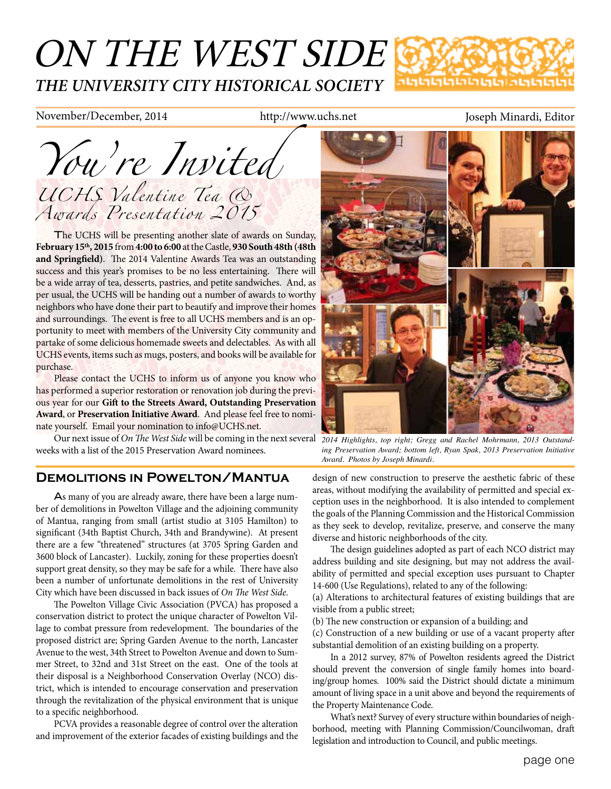# ON THE WEST SIDE *THE UNIVERSITY CITY HISTORICAL SOCIETY*



#### November/December, 2014 http://www.uchs.net Joseph Minardi, Editor

*You're Invited UCHS Valentine Tea & Awards Presentation 2015*

The UCHS will be presenting another slate of awards on Sunday, **February 15th, 2015** from **4:00 to 6:00** at the Castle, **930 South 48th (48th and Springfield)**. The 2014 Valentine Awards Tea was an outstanding success and this year's promises to be no less entertaining. There will be a wide array of tea, desserts, pastries, and petite sandwiches. And, as per usual, the UCHS will be handing out a number of awards to worthy neighbors who have done their part to beautify and improve their homes and surroundings. The event is free to all UCHS members and is an opportunity to meet with members of the University City community and partake of some delicious homemade sweets and delectables. As with all UCHS events, items such as mugs, posters, and books will be available for purchase.

Please contact the UCHS to inform us of anyone you know who has performed a superior restoration or renovation job during the previous year for our **Gift to the Streets Award, Outstanding Preservation Award**, or **Preservation Initiative Award**. And please feel free to nominate yourself. Email your nomination to info@UCHS.net.

Our next issue of *On The West Side* will be coming in the next several *2014 Highlights, top right; Gregg and Rachel Mohrmann, 2013 Outstand*weeks with a list of the 2015 Preservation Award nominees.



*ing Preservation Award; bottom left, Ryan Spak, 2013 Preservation Initiative Award. Photos by Joseph Minardi.*

#### **Demolitions in Powelton/Mantua**

As many of you are already aware, there have been a large number of demolitions in Powelton Village and the adjoining community of Mantua, ranging from small (artist studio at 3105 Hamilton) to significant (34th Baptist Church, 34th and Brandywine). At present there are a few "threatened" structures (at 3705 Spring Garden and 3600 block of Lancaster). Luckily, zoning for these properties doesn't support great density, so they may be safe for a while. There have also been a number of unfortunate demolitions in the rest of University City which have been discussed in back issues of *On The West Side*.

The Powelton Village Civic Association (PVCA) has proposed a conservation district to protect the unique character of Powelton Village to combat pressure from redevelopment. The boundaries of the proposed district are; Spring Garden Avenue to the north, Lancaster Avenue to the west, 34th Street to Powelton Avenue and down to Summer Street, to 32nd and 31st Street on the east. One of the tools at their disposal is a Neighborhood Conservation Overlay (NCO) district, which is intended to encourage conservation and preservation through the revitalization of the physical environment that is unique to a specific neighborhood.

PCVA provides a reasonable degree of control over the alteration and improvement of the exterior facades of existing buildings and the design of new construction to preserve the aesthetic fabric of these areas, without modifying the availability of permitted and special exception uses in the neighborhood. It is also intended to complement the goals of the Planning Commission and the Historical Commission as they seek to develop, revitalize, preserve, and conserve the many diverse and historic neighborhoods of the city.

The design guidelines adopted as part of each NCO district may address building and site designing, but may not address the availability of permitted and special exception uses pursuant to Chapter 14-600 (Use Regulations), related to any of the following:

(a) Alterations to architectural features of existing buildings that are visible from a public street;

(b) The new construction or expansion of a building; and

(c) Construction of a new building or use of a vacant property after substantial demolition of an existing building on a property.

In a 2012 survey, 87% of Powelton residents agreed the District should prevent the conversion of single family homes into boarding/group homes. 100% said the District should dictate a minimum amount of living space in a unit above and beyond the requirements of the Property Maintenance Code.

What's next? Survey of every structure within boundaries of neighborhood, meeting with Planning Commission/Councilwoman, draft legislation and introduction to Council, and public meetings.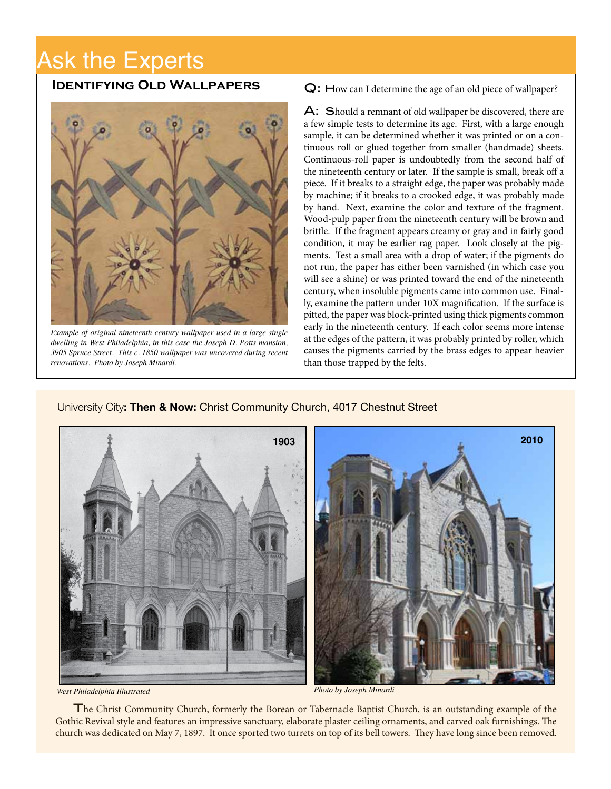# Ask the Experts

### **Identifying Old Wallpapers**



*Example of original nineteenth century wallpaper used in a large single dwelling in West Philadelphia, in this case the Joseph D. Potts mansion, 3905 Spruce Street. This c. 1850 wallpaper was uncovered during recent renovations. Photo by Joseph Minardi.*

Q: How can I determine the age of an old piece of wallpaper?

A: Should a remnant of old wallpaper be discovered, there are a few simple tests to determine its age. First, with a large enough sample, it can be determined whether it was printed or on a continuous roll or glued together from smaller (handmade) sheets. Continuous-roll paper is undoubtedly from the second half of the nineteenth century or later. If the sample is small, break off a piece. If it breaks to a straight edge, the paper was probably made by machine; if it breaks to a crooked edge, it was probably made by hand. Next, examine the color and texture of the fragment. Wood-pulp paper from the nineteenth century will be brown and brittle. If the fragment appears creamy or gray and in fairly good condition, it may be earlier rag paper. Look closely at the pigments. Test a small area with a drop of water; if the pigments do not run, the paper has either been varnished (in which case you will see a shine) or was printed toward the end of the nineteenth century, when insoluble pigments came into common use. Finally, examine the pattern under 10X magnification. If the surface is pitted, the paper was block-printed using thick pigments common early in the nineteenth century. If each color seems more intense at the edges of the pattern, it was probably printed by roller, which causes the pigments carried by the brass edges to appear heavier than those trapped by the felts.

#### University City**: Then & Now:** Christ Community Church, 4017 Chestnut Street



*West Philadelphia Illustrated Photo by Joseph Minardi*

The Christ Community Church, formerly the Borean or Tabernacle Baptist Church, is an outstanding example of the Gothic Revival style and features an impressive sanctuary, elaborate plaster ceiling ornaments, and carved oak furnishings. The church was dedicated on May 7, 1897. It once sported two turrets on top of its bell towers. They have long since been removed.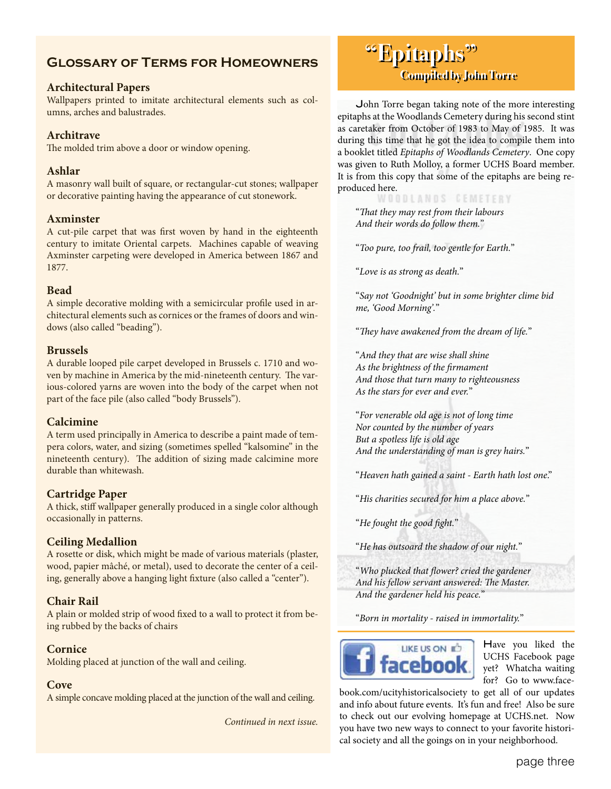### **Glossary of Terms for Homeowners**

#### **Architectural Papers**

Wallpapers printed to imitate architectural elements such as columns, arches and balustrades.

#### **Architrave**

The molded trim above a door or window opening.

#### **Ashlar**

A masonry wall built of square, or rectangular-cut stones; wallpaper or decorative painting having the appearance of cut stonework.

#### **Axminster**

A cut-pile carpet that was first woven by hand in the eighteenth century to imitate Oriental carpets. Machines capable of weaving Axminster carpeting were developed in America between 1867 and 1877.

#### **Bead**

A simple decorative molding with a semicircular profile used in architectural elements such as cornices or the frames of doors and windows (also called "beading").

#### **Brussels**

A durable looped pile carpet developed in Brussels c. 1710 and woven by machine in America by the mid-nineteenth century. The various-colored yarns are woven into the body of the carpet when not part of the face pile (also called "body Brussels").

#### **Calcimine**

A term used principally in America to describe a paint made of tempera colors, water, and sizing (sometimes spelled "kalsomine" in the nineteenth century). The addition of sizing made calcimine more durable than whitewash.

#### **Cartridge Paper**

A thick, stiff wallpaper generally produced in a single color although occasionally in patterns.

#### **Ceiling Medallion**

A rosette or disk, which might be made of various materials (plaster, wood, papier mâché, or metal), used to decorate the center of a ceiling, generally above a hanging light fixture (also called a "center").

#### **Chair Rail**

A plain or molded strip of wood fixed to a wall to protect it from being rubbed by the backs of chairs

#### **Cornice**

Molding placed at junction of the wall and ceiling.

#### **Cove**

A simple concave molding placed at the junction of the wall and ceiling.

*Continued in next issue.*

### **"Epitaphs" "Epitaphs" Compiled by John Torre Compiled by John Torre**

John Torre began taking note of the more interesting epitaphs at the Woodlands Cemetery during his second stint as caretaker from October of 1983 to May of 1985. It was during this time that he got the idea to compile them into a booklet titled *Epitaphs of Woodlands Cemetery*. One copy was given to Ruth Molloy, a former UCHS Board member. It is from this copy that some of the epitaphs are being reproduced here.<br>WOODLANDS CEMETERY

"*That they may rest from their labours And their words do follow them.*"

"*Too pure, too frail, too gentle for Earth.*"

"*Love is as strong as death.*"

"*Say not 'Goodnight' but in some brighter clime bid me, 'Good Morning'.*"

"*They have awakened from the dream of life.*"

"*And they that are wise shall shine As the brightness of the firmament And those that turn many to righteousness As the stars for ever and ever.*"

"*For venerable old age is not of long time Nor counted by the number of years But a spotless life is old age And the understanding of man is grey hairs.*"

"*Heaven hath gained a saint - Earth hath lost one*."

"*His charities secured for him a place above.*"

"*He fought the good fight.*"

"*He has outsoard the shadow of our night.*"

"*Who plucked that flower? cried the gardener And his fellow servant answered: The Master. And the gardener held his peace.*"

"*Born in mortality - raised in immortality.*"



Have you liked the UCHS Facebook page yet? Whatcha waiting for? Go to www.face-

book.com/ucityhistoricalsociety to get all of our updates and info about future events. It's fun and free! Also be sure to check out our evolving homepage at UCHS.net. Now you have two new ways to connect to your favorite historical society and all the goings on in your neighborhood.